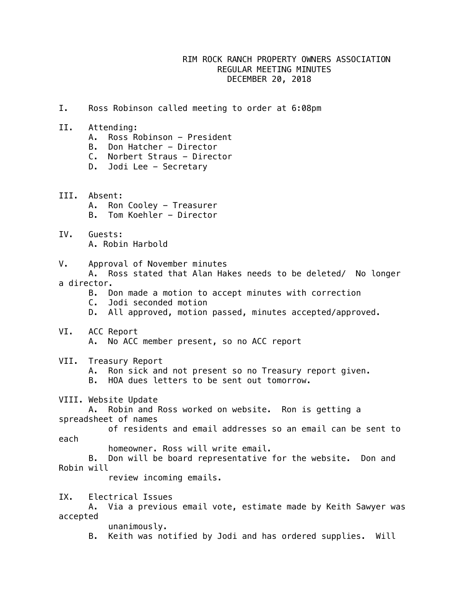## RIM ROCK RANCH PROPERTY OWNERS ASSOCIATION REGULAR MEETING MINUTES DECEMBER 20, 2018

- I. Ross Robinson called meeting to order at 6:08pm
- II. Attending:
	- A. Ross Robinson President
	- B. Don Hatcher Director
	- C. Norbert Straus Director
	- D. Jodi Lee Secretary
- III. Absent: A. Ron Cooley - Treasurer B. Tom Koehler - Director
- IV. Guests: A. Robin Harbold
- V. Approval of November minutes A. Ross stated that Alan Hakes needs to be deleted/ No longer a director.
	- B. Don made a motion to accept minutes with correction
	- C. Jodi seconded motion
	- D. All approved, motion passed, minutes accepted/approved.
- VI. ACC Report A. No ACC member present, so no ACC report
- VII. Treasury Report
	- A. Ron sick and not present so no Treasury report given.
	- B. HOA dues letters to be sent out tomorrow.
- VIII. Website Update
- A. Robin and Ross worked on website. Ron is getting a spreadsheet of names
- of residents and email addresses so an email can be sent to each
	- homeowner. Ross will write email.
- B. Don will be board representative for the website. Don and Robin will
	- review incoming emails.
- IX. Electrical Issues
- A. Via a previous email vote, estimate made by Keith Sawyer was accepted
	- unanimously.
	- B. Keith was notified by Jodi and has ordered supplies. Will